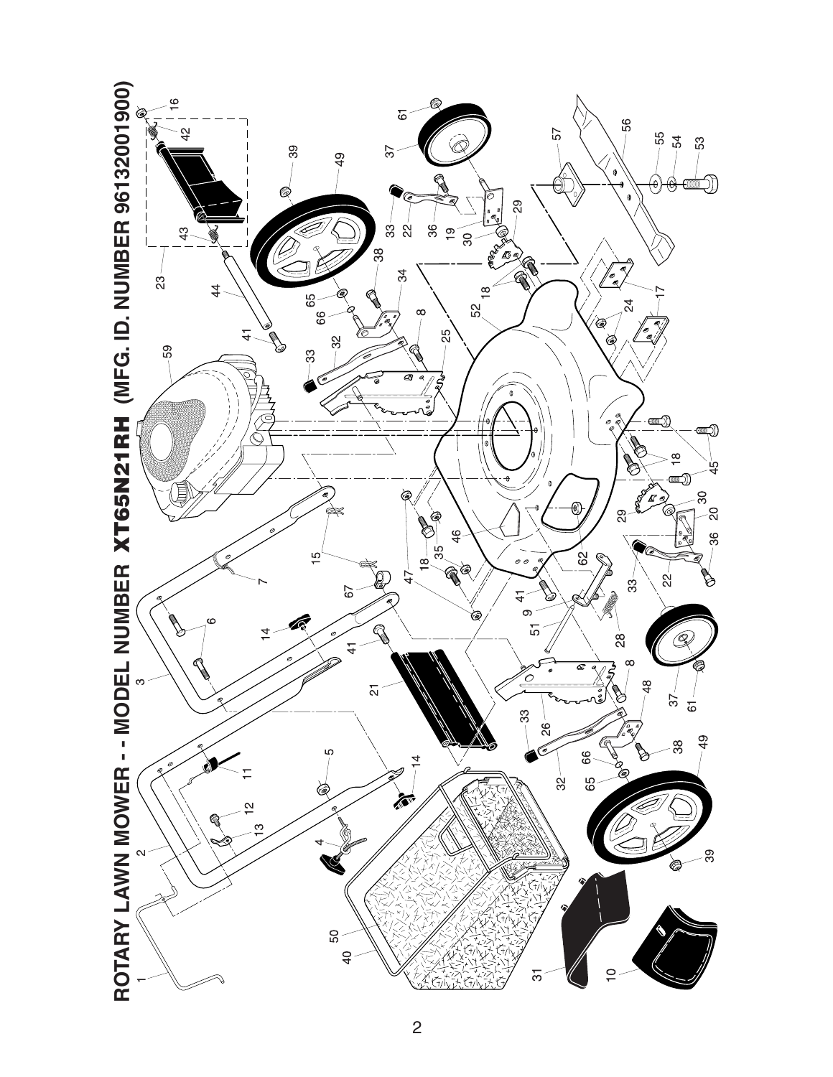